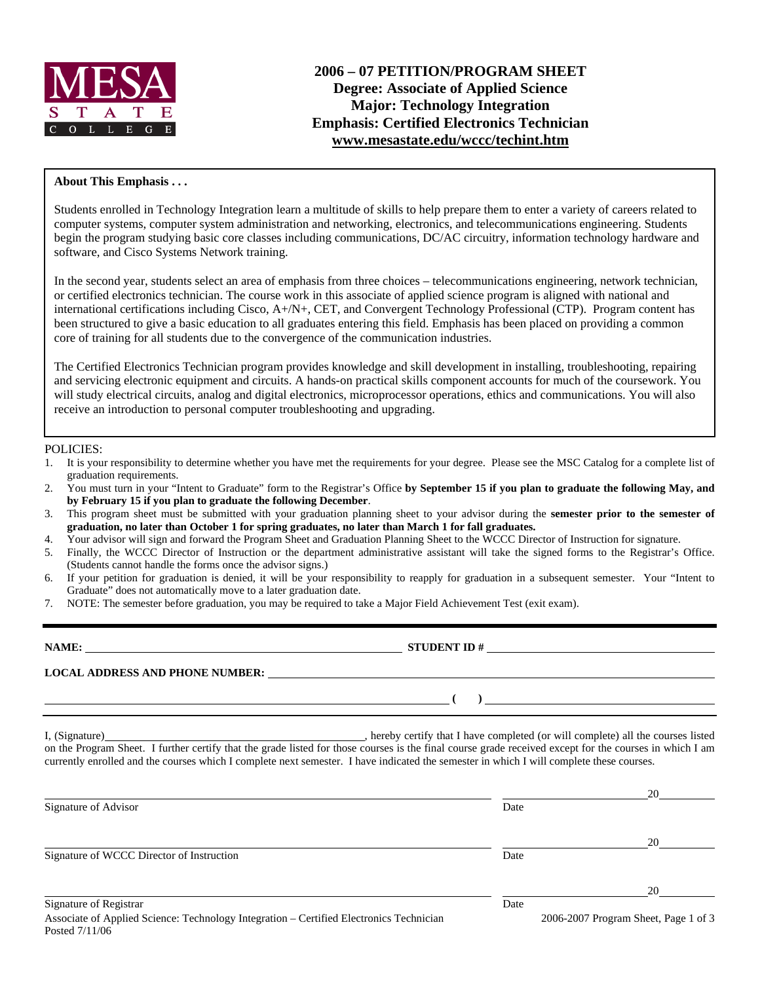

# **2006 – 07 PETITION/PROGRAM SHEET Degree: Associate of Applied Science Major: Technology Integration Emphasis: Certified Electronics Technician www.mesastate.edu/wccc/techint.htm**

# **About This Emphasis . . .**

Students enrolled in Technology Integration learn a multitude of skills to help prepare them to enter a variety of careers related to computer systems, computer system administration and networking, electronics, and telecommunications engineering. Students begin the program studying basic core classes including communications, DC/AC circuitry, information technology hardware and software, and Cisco Systems Network training.

In the second year, students select an area of emphasis from three choices – telecommunications engineering, network technician, or certified electronics technician. The course work in this associate of applied science program is aligned with national and international certifications including Cisco, A+/N+, CET, and Convergent Technology Professional (CTP). Program content has been structured to give a basic education to all graduates entering this field. Emphasis has been placed on providing a common core of training for all students due to the convergence of the communication industries.

The Certified Electronics Technician program provides knowledge and skill development in installing, troubleshooting, repairing and servicing electronic equipment and circuits. A hands-on practical skills component accounts for much of the coursework. You will study electrical circuits, analog and digital electronics, microprocessor operations, ethics and communications. You will also receive an introduction to personal computer troubleshooting and upgrading.

### POLICIES:

- 1. It is your responsibility to determine whether you have met the requirements for your degree. Please see the MSC Catalog for a complete list of graduation requirements.
- 2. You must turn in your "Intent to Graduate" form to the Registrar's Office **by September 15 if you plan to graduate the following May, and by February 15 if you plan to graduate the following December**.
- 3. This program sheet must be submitted with your graduation planning sheet to your advisor during the **semester prior to the semester of graduation, no later than October 1 for spring graduates, no later than March 1 for fall graduates.**
- 4. Your advisor will sign and forward the Program Sheet and Graduation Planning Sheet to the WCCC Director of Instruction for signature.
- 5. Finally, the WCCC Director of Instruction or the department administrative assistant will take the signed forms to the Registrar's Office. (Students cannot handle the forms once the advisor signs.)
- 6. If your petition for graduation is denied, it will be your responsibility to reapply for graduation in a subsequent semester. Your "Intent to Graduate" does not automatically move to a later graduation date.
- 7. NOTE: The semester before graduation, you may be required to take a Major Field Achievement Test (exit exam).

| NAME:                                  | <b>STUDENT ID#</b> |
|----------------------------------------|--------------------|
| <b>LOCAL ADDRESS AND PHONE NUMBER:</b> |                    |
|                                        |                    |

I, (Signature) , hereby certify that I have completed (or will complete) all the courses listed on the Program Sheet. I further certify that the grade listed for those courses is the final course grade received except for the courses in which I am currently enrolled and the courses which I complete next semester. I have indicated the semester in which I will complete these courses.

|                                                                                                           |      | 20                                   |
|-----------------------------------------------------------------------------------------------------------|------|--------------------------------------|
| Signature of Advisor                                                                                      | Date |                                      |
|                                                                                                           |      | 20                                   |
| Signature of WCCC Director of Instruction                                                                 | Date |                                      |
|                                                                                                           |      | 20                                   |
| Signature of Registrar                                                                                    | Date |                                      |
| Associate of Applied Science: Technology Integration – Certified Electronics Technician<br>Posted 7/11/06 |      | 2006-2007 Program Sheet, Page 1 of 3 |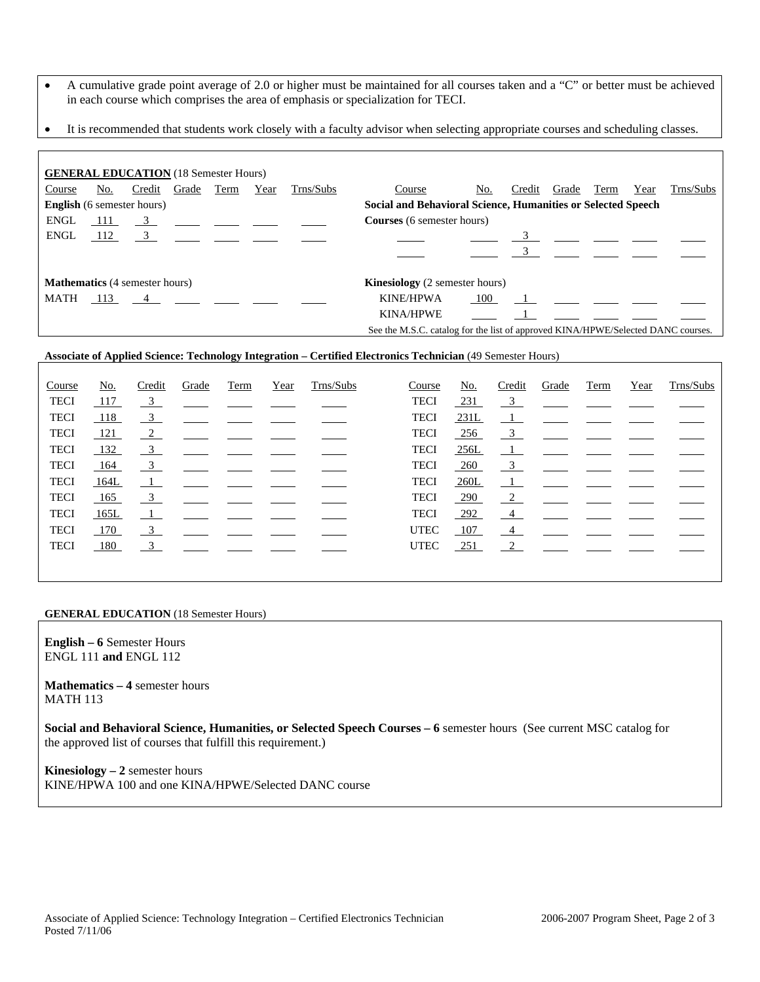- A cumulative grade point average of 2.0 or higher must be maintained for all courses taken and a "C" or better must be achieved in each course which comprises the area of emphasis or specialization for TECI.
- It is recommended that students work closely with a faculty advisor when selecting appropriate courses and scheduling classes.

|                                       |     | <b>GENERAL EDUCATION</b> (18 Semester Hours) |                |      |      |                                       |                                                                                  |     |        |       |      |      |           |
|---------------------------------------|-----|----------------------------------------------|----------------|------|------|---------------------------------------|----------------------------------------------------------------------------------|-----|--------|-------|------|------|-----------|
| Course                                | No. | Credit                                       | Grade          | Term | Year | Trns/Subs                             | Course                                                                           | No. | Credit | Grade | Term | Year | Trns/Subs |
|                                       |     | <b>English</b> (6 semester hours)            |                |      |      |                                       | Social and Behavioral Science, Humanities or Selected Speech                     |     |        |       |      |      |           |
| ENGL                                  | 111 |                                              | $\overline{3}$ |      |      |                                       | <b>Courses</b> (6 semester hours)                                                |     |        |       |      |      |           |
| ENGL                                  | 112 | $\frac{3}{2}$                                |                |      |      |                                       |                                                                                  |     |        |       |      |      |           |
|                                       |     |                                              |                |      |      |                                       |                                                                                  |     |        |       |      |      |           |
| <b>Mathematics</b> (4 semester hours) |     |                                              |                |      |      | <b>Kinesiology</b> (2 semester hours) |                                                                                  |     |        |       |      |      |           |
| MATH                                  |     | 113 4                                        |                |      |      |                                       | <b>KINE/HPWA</b>                                                                 | 100 |        |       |      |      |           |
|                                       |     |                                              |                |      |      |                                       | <b>KINA/HPWE</b>                                                                 |     |        |       |      |      |           |
|                                       |     |                                              |                |      |      |                                       | See the M.S.C. catalog for the list of approved KINA/HPWE/Selected DANC courses. |     |        |       |      |      |           |

# **Associate of Applied Science: Technology Integration – Certified Electronics Technician** (49 Semester Hours)

| Course      | No.  | Credit                  | Grade                           | Term | Year | Trns/Subs | Course      | No.        | Credit                    | Grade                                                                                                                                                                                                                                | Term                                                   | Year | Trns/Subs |
|-------------|------|-------------------------|---------------------------------|------|------|-----------|-------------|------------|---------------------------|--------------------------------------------------------------------------------------------------------------------------------------------------------------------------------------------------------------------------------------|--------------------------------------------------------|------|-----------|
| <b>TECI</b> | 117  | $\frac{3}{2}$           |                                 |      |      |           | <b>TECI</b> | <u>231</u> | $\frac{3}{2}$             |                                                                                                                                                                                                                                      | <u> 1989 - John Harry Barnett, francuski politik (</u> |      |           |
| <b>TECI</b> | 118  | $\frac{3}{2}$           |                                 |      |      |           | <b>TECI</b> | 231L       | $\mathbf{1}$              | <u>and the state of the state of the state of the state of the state of the state of the state of the state of the state of the state of the state of the state of the state of the state of the state of the state of the state</u> |                                                        |      |           |
| <b>TECI</b> | 121  | $\frac{2}{2}$           |                                 |      |      |           | <b>TECI</b> | <u>256</u> | $\overline{\phantom{0}3}$ | <b>Contract Contract</b>                                                                                                                                                                                                             |                                                        |      |           |
| <b>TECI</b> | 132  | $\overline{3}$          |                                 |      |      |           | <b>TECI</b> | 256L       | $\perp$                   |                                                                                                                                                                                                                                      |                                                        |      |           |
| <b>TECI</b> | 164  | $\frac{3}{2}$           | <u> 1999 – Jan Albert III (</u> |      |      |           | <b>TECI</b> | 260        | $\frac{3}{2}$             | the control of the control of                                                                                                                                                                                                        |                                                        |      |           |
| <b>TECI</b> | 164L | $\overline{1}$          |                                 |      |      |           | <b>TECI</b> | 260L       | $\perp$                   | <u>and the company of the company of the company of the company of the company of the company of the company of the company of the company of the company of the company of the company of the company of the company of the com</u> |                                                        |      |           |
| <b>TECI</b> | 165  | $\overline{\mathbf{3}}$ |                                 |      |      |           | <b>TECI</b> | <b>290</b> | $\overline{2}$            |                                                                                                                                                                                                                                      |                                                        |      |           |
| <b>TECI</b> | 165L |                         |                                 |      |      |           | <b>TECI</b> | $-292$     | $\frac{4}{ }$             |                                                                                                                                                                                                                                      |                                                        |      |           |
| <b>TECI</b> | 170  | $\frac{3}{2}$           |                                 |      |      |           | <b>UTEC</b> | 107        | $\frac{4}{ }$             |                                                                                                                                                                                                                                      |                                                        |      |           |
| <b>TECI</b> | 180  | 3                       |                                 |      |      |           | <b>UTEC</b> | 251        | 2                         |                                                                                                                                                                                                                                      |                                                        |      |           |
|             |      |                         |                                 |      |      |           |             |            |                           |                                                                                                                                                                                                                                      |                                                        |      |           |

#### **GENERAL EDUCATION** (18 Semester Hours)

**English – 6** Semester Hours ENGL 111 **and** ENGL 112

**Mathematics – 4** semester hours MATH 113

**Social and Behavioral Science, Humanities, or Selected Speech Courses – 6** semester hours (See current MSC catalog for the approved list of courses that fulfill this requirement.)

**Kinesiology – 2** semester hours KINE/HPWA 100 and one KINA/HPWE/Selected DANC course